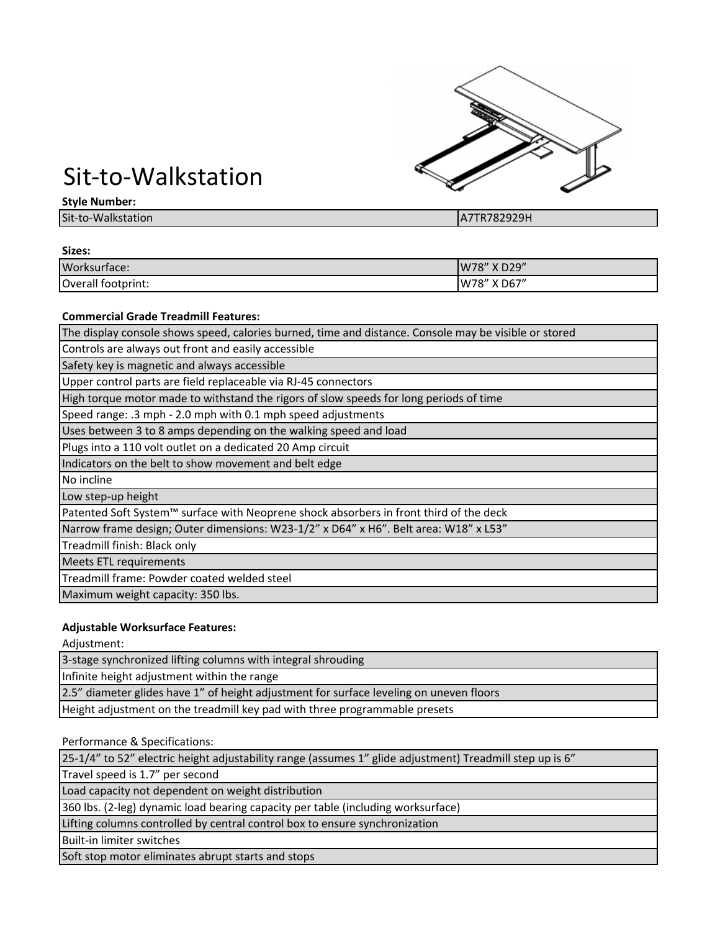

# Sit-to-Walkstation

#### **Style Number:**

| - - -<br>____              |                      |
|----------------------------|----------------------|
| Sit-to-Wa<br>aik<br>tation | 70วดวด⊔<br>P<br>-911 |
|                            |                      |

| Sizes:             |             |
|--------------------|-------------|
| Worksurface:       | W78" X D29" |
| Overall footprint: | W78" X D67" |

## **Commercial Grade Treadmill Features:**

The display console shows speed, calories burned, time and distance. Console may be visible or stored

Controls are always out front and easily accessible

Safety key is magnetic and always accessible

Upper control parts are field replaceable via RJ-45 connectors

High torque motor made to withstand the rigors of slow speeds for long periods of time

Speed range: .3 mph - 2.0 mph with 0.1 mph speed adjustments

Uses between 3 to 8 amps depending on the walking speed and load

Plugs into a 110 volt outlet on a dedicated 20 Amp circuit

Indicators on the belt to show movement and belt edge

No incline

Low step-up height

Patented Soft System™ surface with Neoprene shock absorbers in front third of the deck

Narrow frame design; Outer dimensions: W23-1/2" x D64" x H6". Belt area: W18" x L53"

Treadmill finish: Black only

Meets ETL requirements

Treadmill frame: Powder coated welded steel

Maximum weight capacity: 350 lbs.

# **Adjustable Worksurface Features:**

Adjustment:

3-stage synchronized lifting columns with integral shrouding

Infinite height adjustment within the range

2.5" diameter glides have 1" of height adjustment for surface leveling on uneven floors

Height adjustment on the treadmill key pad with three programmable presets

Performance & Specifications:

25-1/4" to 52" electric height adjustability range (assumes 1" glide adjustment) Treadmill step up is 6"

Travel speed is 1.7" per second

Load capacity not dependent on weight distribution

360 lbs. (2-leg) dynamic load bearing capacity per table (including worksurface)

Lifting columns controlled by central control box to ensure synchronization

Built-in limiter switches

Soft stop motor eliminates abrupt starts and stops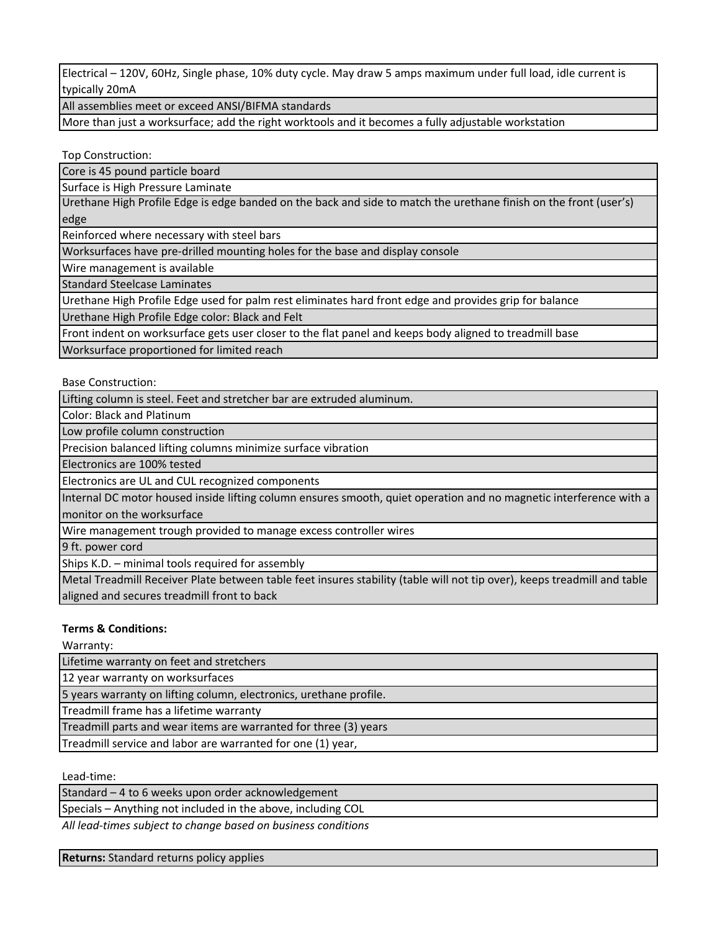Electrical – 120V, 60Hz, Single phase, 10% duty cycle. May draw 5 amps maximum under full load, idle current is typically 20mA

All assemblies meet or exceed ANSI/BIFMA standards

More than just a worksurface; add the right worktools and it becomes a fully adjustable workstation

Top Construction:

Core is 45 pound particle board

Surface is High Pressure Laminate

Urethane High Profile Edge is edge banded on the back and side to match the urethane finish on the front (user's) edge

Reinforced where necessary with steel bars

Worksurfaces have pre-drilled mounting holes for the base and display console

Wire management is available

Standard Steelcase Laminates

Urethane High Profile Edge used for palm rest eliminates hard front edge and provides grip for balance

Urethane High Profile Edge color: Black and Felt

Front indent on worksurface gets user closer to the flat panel and keeps body aligned to treadmill base

Worksurface proportioned for limited reach

Base Construction:

Lifting column is steel. Feet and stretcher bar are extruded aluminum.

Color: Black and Platinum

Low profile column construction

Precision balanced lifting columns minimize surface vibration

Electronics are 100% tested

Electronics are UL and CUL recognized components

Internal DC motor housed inside lifting column ensures smooth, quiet operation and no magnetic interference with a monitor on the worksurface

Wire management trough provided to manage excess controller wires

9 ft. power cord

Ships K.D. – minimal tools required for assembly

Metal Treadmill Receiver Plate between table feet insures stability (table will not tip over), keeps treadmill and table aligned and secures treadmill front to back

# **Terms & Conditions:**

Warranty:

Lifetime warranty on feet and stretchers

12 year warranty on worksurfaces

5 years warranty on lifting column, electronics, urethane profile.

Treadmill frame has a lifetime warranty

Treadmill parts and wear items are warranted for three (3) years

Treadmill service and labor are warranted for one (1) year,

Lead-time:

Standard – 4 to 6 weeks upon order acknowledgement

Specials – Anything not included in the above, including COL

*All lead-times subject to change based on business conditions*

**Returns:** Standard returns policy applies